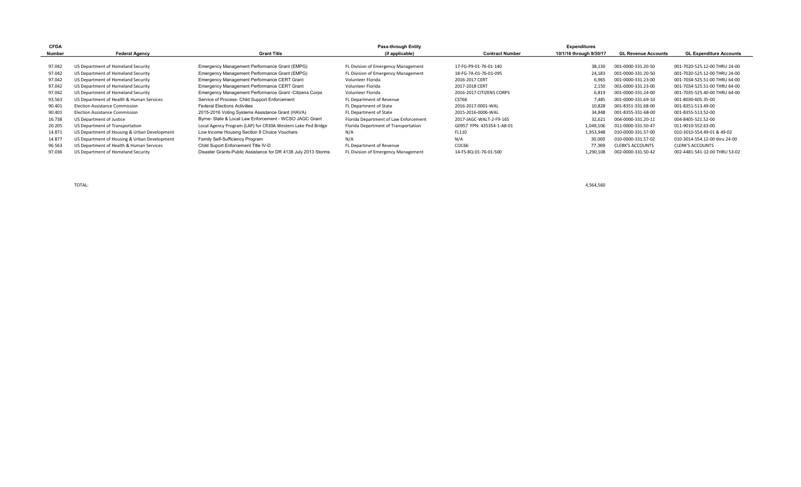| <b>CFDA</b> |                                              |                                                                | Pass-through Entity                   |                           | <b>Expenditures</b>     |                            |                                |
|-------------|----------------------------------------------|----------------------------------------------------------------|---------------------------------------|---------------------------|-------------------------|----------------------------|--------------------------------|
| Number      | <b>Federal Agency</b>                        | <b>Grant Title</b>                                             | (if applicable)                       | <b>Contract Number</b>    | 10/1/16 through 9/30/17 | <b>GL Revenue Accounts</b> | <b>GL Expenditure Accounts</b> |
|             |                                              |                                                                |                                       |                           |                         |                            |                                |
| 97.042      | US Department of Homeland Security           | Emergency Management Performance Grant (EMPG)                  | FL Division of Emergency Management   | 17-FG-P9-01-76-01-140     | 38,130                  | 001-0000-331.20-50         | 001-7020-525.12-00 THRU 24-00  |
| 97.042      | US Department of Homeland Security           | Emergency Management Performance Grant (EMPG)                  | FL Division of Emergency Management   | 18-FG-7A-01-76-01-095     | 24.183                  | 001-0000-331.20-50         | 001-7020-525.12-00 THRU 24-00  |
| 97.042      | US Department of Homeland Security           | Emergency Management Performance CERT Grant                    | Volunteer Florida                     | 2016-2017 CERT            | 6,965                   | 001-0000-331.23-00         | 001-7034-525.51-00 THRU 64-00  |
| 97.042      | US Department of Homeland Security           | Emergency Management Performance CERT Grant                    | Volunteer Florida                     | 2017-2018 CERT            | 2,150                   | 001-0000-331.23-00         | 001-7034-525.51-00 THRU 64-00  |
| 97.042      | US Department of Homeland Security           | Emergency Management Performance Grant - Citizens Corps        | Volunteer Florida                     | 2016-2017 CITIZENS CORPS  | 6,819                   | 001-0000-331.24-00         | 001-7035-525.40-00 THRU 64-00  |
| 93.563      | US Department of Health & Human Services     | Service of Process- Child Support Enforcement                  | FL Department of Revenue              | CST66                     | 7,485                   | 001-0000-331.69-10         | 001-8030-605.35-00             |
| 90.401      | <b>Election Assistance Commission</b>        | <b>Federal Elections Activities</b>                            | FL Department of State                | 2016-2017-0001-WAL        | 10,828                  | 001-8351-331.68-00         | 001-8351-513.49-00             |
| 90.401      | <b>Election Assistance Commission</b>        | 2015-2016 Voting Systems Assistance Grant (HAVA)               | FL Department of State                | 2015-2016-0006-WAL        | 34,848                  | 001-8355-331-68-00         | 001-8355-513.52-00             |
| 16.738      | US Department of Justice                     | Byrne- State & Local Law Enforcement - WCSO JAGC Grant         | Florida Department of Law Enforcement | 2017-JAGC-WALT-2-F9-165   | 32,621                  | 004-0000-331.20-11         | 004-8405-521.52-00             |
| 20.205      | US Department of Transportation              | Local Agency Program (LAP) for CR30A Western Lake Ped Bridge   | Florida Department of Transportation  | G0957 FPN: 435354-1-A8-01 | 1,049,106               | 011-0000-331.50-47         | 011-9010-552.63-00             |
| 14.871      | US Department of Housing & Urban Development | Low Income Housing Section 8 Choice Vouchers                   | N/A                                   | FL110                     | 1,953,948               | 010-0000-331.57-00         | 010-3010-554.49-01 & 49-02     |
| 14.877      | US Department of Housing & Urban Development | Family Self-Sufficiency Program                                | N/A                                   | N/A                       | 30,000                  | 010-0000-331.57-02         | 010-3014-554.12-00 thru 24-00  |
| 96.563      | US Department of Health & Human Services     | Child Suport Enforcement Title IV-D                            | FL Department of Revenue              | COC66                     | 77.369                  | <b>CLERK'S ACCOUNTS</b>    | <b>CLERK'S ACCOUNTS</b>        |
| 97.036      | US Department of Homeland Security           | Disaster Grants-Public Assistance for DR 4138 July 2013 Storms | FL Division of Emergency Management   | 14-FS-8Q-01-76-01-500     | 1,290,108               | 002-0000-331.50-42         | 002-4481-541-12-00 THRU 53-02  |

TOTAL: 4,564,560